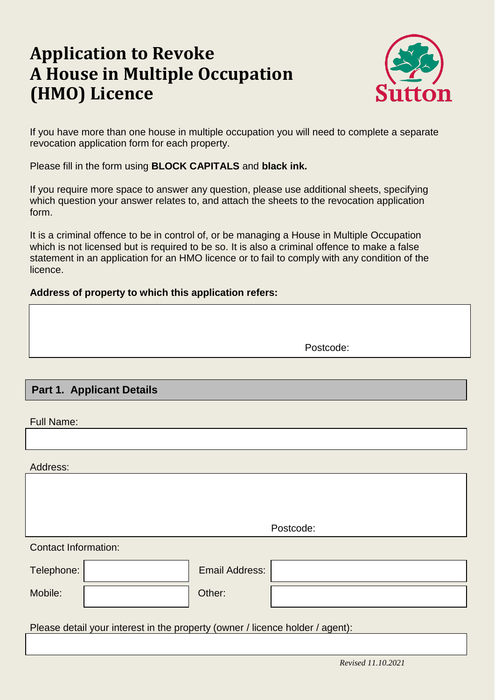# **Application to Revoke A House in Multiple Occupation (HMO) Licence**



If you have more than one house in multiple occupation you will need to complete a separate revocation application form for each property.

Please fill in the form using **BLOCK CAPITALS** and **black ink.**

If you require more space to answer any question, please use additional sheets, specifying which question your answer relates to, and attach the sheets to the revocation application form.

It is a criminal offence to be in control of, or be managing a House in Multiple Occupation which is not licensed but is required to be so. It is also a criminal offence to make a false statement in an application for an HMO licence or to fail to comply with any condition of the licence.

#### **Address of property to which this application refers:**

Postcode:

# **. Part 1. Applicant Details**

Full Name:

Address:

Contact Information: Telephone: Email Address: Mobile:  $\vert$  Other: Please detail your interest in the property (owner / licence holder / agent): Postcode: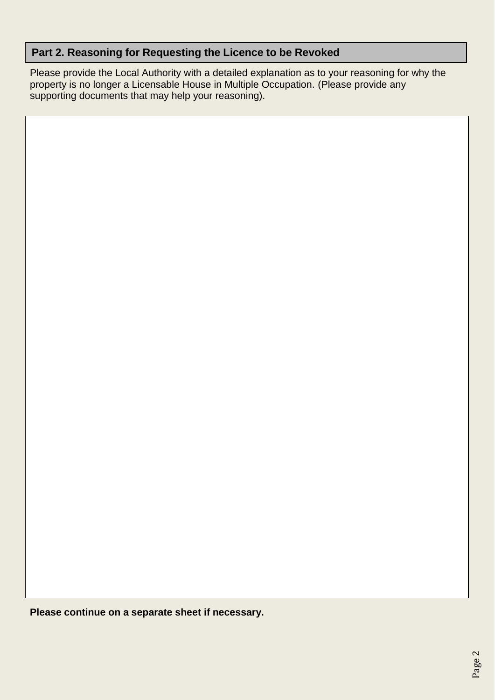## **Part 2. Reasoning for Requesting the Licence to be Revoked**

Please provide the Local Authority with a detailed explanation as to your reasoning for why the property is no longer a Licensable House in Multiple Occupation. (Please provide any supporting documents that may help your reasoning).

**Please continue on a separate sheet if necessary.**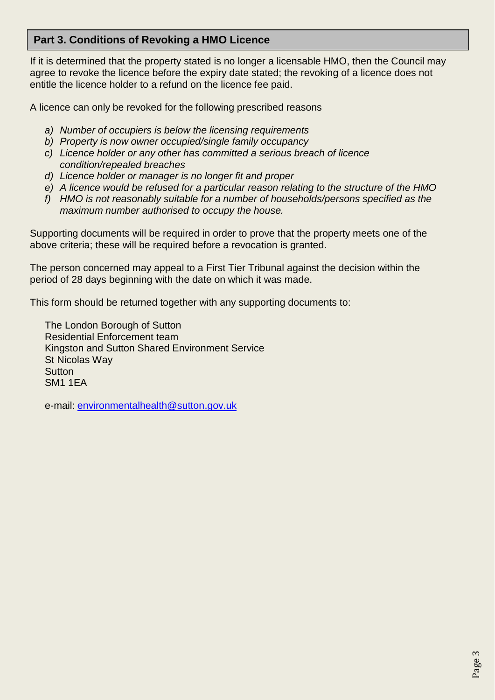## **Part 3. Conditions of Revoking a HMO Licence**

If it is determined that the property stated is no longer a licensable HMO, then the Council may agree to revoke the licence before the expiry date stated; the revoking of a licence does not entitle the licence holder to a refund on the licence fee paid.

A licence can only be revoked for the following prescribed reasons

- *a) Number of occupiers is below the licensing requirements*
- *b) Property is now owner occupied/single family occupancy*
- *c) Licence holder or any other has committed a serious breach of licence condition/repealed breaches*
- *d) Licence holder or manager is no longer fit and proper*
- *e) A licence would be refused for a particular reason relating to the structure of the HMO*
- *f) HMO is not reasonably suitable for a number of households/persons specified as the maximum number authorised to occupy the house.*

Supporting documents will be required in order to prove that the property meets one of the above criteria; these will be required before a revocation is granted.

The person concerned may appeal to a First Tier Tribunal against the decision within the period of 28 days beginning with the date on which it was made.

This form should be returned together with any supporting documents to:

The London Borough of Sutton Residential Enforcement team Kingston and Sutton Shared Environment Service St Nicolas Way **Sutton** SM1 1EA

e-mail: [environmentalhealth@sutton.gov.uk](mailto:privatesectorhousing@kingston.gov.uk)